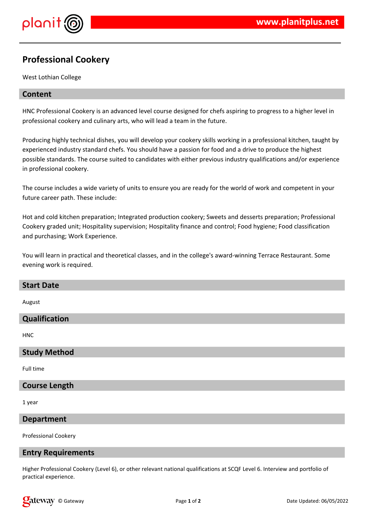



# **Professional Cookery**

West Lothian College

### **Content**

HNC Professional Cookery is an advanced level course designed for chefs aspiring to progress to a higher level in professional cookery and culinary arts, who will lead a team in the future.

Producing highly technical dishes, you will develop your cookery skills working in a professional kitchen, taught by experienced industry standard chefs. You should have a passion for food and a drive to produce the highest possible standards. The course suited to candidates with either previous industry qualifications and/or experience in professional cookery.

The course includes a wide variety of units to ensure you are ready for the world of work and competent in your future career path. These include:

Hot and cold kitchen preparation; Integrated production cookery; Sweets and desserts preparation; Professional Cookery graded unit; Hospitality supervision; Hospitality finance and control; Food hygiene; Food classification and purchasing; Work Experience.

You will learn in practical and theoretical classes, and in the college's award-winning Terrace Restaurant. Some evening work is required.

| <b>Start Date</b> |  |
|-------------------|--|
| August            |  |
| Qualification     |  |

**HNC** 

### **Study Method**

Full time

#### **Course Length**

1 year

### **Department**

Professional Cookery

### **Entry Requirements**

Higher Professional Cookery (Level 6), or other relevant national qualifications at SCQF Level 6. Interview and portfolio of practical experience.